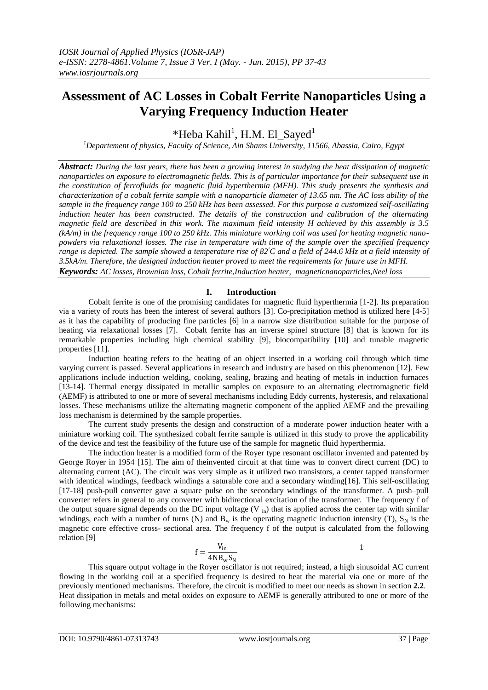# **Assessment of AC Losses in Cobalt Ferrite Nanoparticles Using a Varying Frequency Induction Heater**

\*Heba Kahil<sup>1</sup>, H.M. El\_Sayed<sup>1</sup>

*<sup>1</sup>Departement of physics, Faculty of Science, Ain Shams University, 11566, Abassia, Cairo, Egypt*

*Abstract: During the last years, there has been a growing interest in studying the heat dissipation of magnetic nanoparticles on exposure to electromagnetic fields. This is of particular importance for their subsequent use in the constitution of ferrofluids for magnetic fluid hyperthermia (MFH). This study presents the synthesis and characterization of a cobalt ferrite sample with a nanoparticle diameter of 13.65 nm. The AC loss ability of the sample in the frequency range 100 to 250 kHz has been assessed. For this purpose a customized self-oscillating induction heater has been constructed. The details of the construction and calibration of the alternating magnetic field are described in this work. The maximum field intensity H achieved by this assembly is 3.5 (kA/m) in the frequency range 100 to 250 kHz. This miniature working coil was used for heating magnetic nanopowders via relaxational losses. The rise in temperature with time of the sample over the specified frequency range is depicted. The sample showed a temperature rise of 82<sup>°</sup>C and a field of 244.6 kHz at a field intensity of 3.5kA/m. Therefore, the designed induction heater proved to meet the requirements for future use in MFH. Keywords: AC losses, Brownian loss, Cobalt ferrite,Induction heater, magneticnanoparticles,Neel loss*

# **I. Introduction**

Cobalt ferrite is one of the promising candidates for magnetic fluid hyperthermia [1-2]. Its preparation via a variety of routs has been the interest of several authors [3]. Co-precipitation method is utilized here [4-5] as it has the capability of producing fine particles [6] in a narrow size distribution suitable for the purpose of heating via relaxational losses [7]. Cobalt ferrite has an inverse spinel structure [8] that is known for its remarkable properties including high chemical stability [9], biocompatibility [10] and tunable magnetic properties [11].

Induction heating refers to the heating of an object inserted in a working coil through which time varying current is passed. Several applications in research and industry are based on this phenomenon [12]. Few applications include induction welding, cooking, sealing, brazing and heating of metals in induction furnaces [13-14]. Thermal energy dissipated in metallic samples on exposure to an alternating electromagnetic field (AEMF) is attributed to one or more of several mechanisms including Eddy currents, hysteresis, and relaxational losses. These mechanisms utilize the alternating magnetic component of the applied AEMF and the prevailing loss mechanism is determined by the sample properties.

The current study presents the design and construction of a moderate power induction heater with a miniature working coil. The synthesized cobalt ferrite sample is utilized in this study to prove the applicability of the device and test the feasibility of the future use of the sample for magnetic fluid hyperthermia.

The induction heater is a modified form of the Royer type resonant oscillator invented and patented by George Royer in 1954 [15]. The aim of theinvented circuit at that time was to convert direct current (DC) to alternating current (AC). The circuit was very simple as it utilized two transistors, a center tapped transformer with identical windings, feedback windings a saturable core and a secondary winding [16]. This self-oscillating [17-18] push-pull converter gave a square pulse on the secondary windings of the transformer. A push–pull converter refers in general to any converter with bidirectional excitation of the transformer. The frequency f of the output square signal depends on the DC input voltage  $(V_{in})$  that is applied across the center tap with similar windings, each with a number of turns (N) and  $B_w$  is the operating magnetic induction intensity (T),  $S_N$  is the magnetic core effective cross- sectional area. The frequency f of the output is calculated from the following relation [9]

$$
f = \frac{V_{\rm in}}{4N B_w S_N}
$$

This square output voltage in the Royer oscillator is not required; instead, a high sinusoidal AC current flowing in the working coil at a specified frequency is desired to heat the material via one or more of the previously mentioned mechanisms. Therefore, the circuit is modified to meet our needs as shown in section **2.2**. Heat dissipation in metals and metal oxides on exposure to AEMF is generally attributed to one or more of the following mechanisms: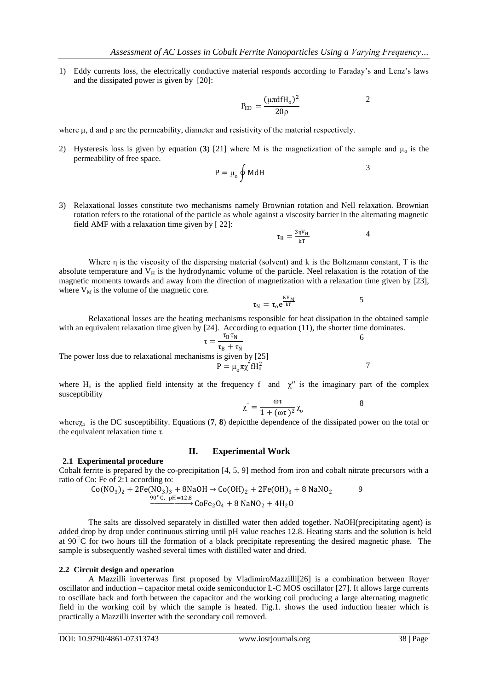1) Eddy currents loss, the electrically conductive material responds according to Faraday's and Lenz's laws and the dissipated power is given by [20]:

$$
P_{ED} = \frac{(\mu \pi d f H_o)^2}{20 \rho}
$$

<span id="page-1-3"></span>2

<span id="page-1-6"></span><span id="page-1-5"></span><span id="page-1-4"></span><span id="page-1-0"></span>4

where μ, d and ρ are the permeability, diameter and resistivity of the material respectively.

2) Hysteresis loss is given by equation ([3](#page-1-0)) [21] where M is the magnetization of the sample and  $\mu_0$  is the permeability of free space.

$$
P = \mu_0 \oint M dH
$$
 3

3) Relaxational losses constitute two mechanisms namely Brownian rotation and Nell relaxation. Brownian rotation refers to the rotational of the particle as whole against a viscosity barrier in the alternating magnetic field AMF with a relaxation time given by [ 22]:

$$
\tau_{\rm B} = \frac{3 \eta V_{\rm H}}{kT}
$$

Where  $\eta$  is the viscosity of the dispersing material (solvent) and k is the Boltzmann constant, T is the absolute temperature and  $V_H$  is the hydrodynamic volume of the particle. Neel relaxation is the rotation of the magnetic moments towards and away from the direction of magnetization with a relaxation time given by [23], where  $V_M$  is the volume of the magnetic core.

<span id="page-1-1"></span>
$$
\tau_N = \tau_o e^{\frac{KV_M}{kT}}
$$
 5

Relaxational losses are the heating mechanisms responsible for heat dissipation in the obtained sample with an equivalent relaxation time given by [24]. According to equation (11), the shorter time dominates.

The power loss due to relaxational mechanisms is given by [25]  
\n
$$
\tau = \frac{\tau_B \tau_N}{\tau_B + \tau_N}
$$
\n6  
\n
$$
P = \mu_0 \pi \chi^2 f H_0^2
$$

where H<sub>o</sub> is the applied field intensity at the frequency f and  $\chi''$  is the imaginary part of the complex susceptibility

<span id="page-1-2"></span>
$$
\chi^{''} = \frac{\omega \tau}{1 + (\omega \tau)^2} \chi_0 \tag{8}
$$

where $\chi_0$  is the DC susceptibility. Equations (**[7](#page-1-1)**, **[8](#page-1-2)**) depict the dependence of the dissipated power on the total or the equivalent relaxation time τ.

#### **II. Experimental Work 2.1 Experimental procedure**

Cobalt ferrite is prepared by the co-precipitation [4, 5, 9] method from iron and cobalt nitrate precursors with a ratio of Co: Fe of 2:1 according to:

$$
Co(NO3)2 + 2Fe(NO3)3 + 8NaOH \rightarrow Co(OH)2 + 2Fe(OH)3 + 8 NaNO2
$$
  
\n
$$
90^{\circ}C, \text{ pH} = 12.8
$$
  
\n
$$
CoFe2O4 + 8 NaNO2 + 4H2O
$$

The salts are dissolved separately in distilled water then added together. NaOH(precipitating agent) is added drop by drop under continuous stirring until pH value reaches 12.8. Heating starts and the solution is held at  $90^{\degree}$ C for two hours till the formation of a black precipitate representing the desired magnetic phase. The sample is subsequently washed several times with distilled water and dried.

#### **2.2 Circuit design and operation**

A Mazzilli inverterwas first proposed by VladimiroMazzilli[26] is a combination between Royer oscillator and induction – capacitor metal oxide semiconductor L-C MOS oscillator [27]. It allows large currents to oscillate back and forth between the capacitor and the working coil producing a large alternating magnetic field in the working coil by which the sample is heated. Fig.1. shows the used induction heater which is practically a Mazzilli inverter with the secondary coil removed.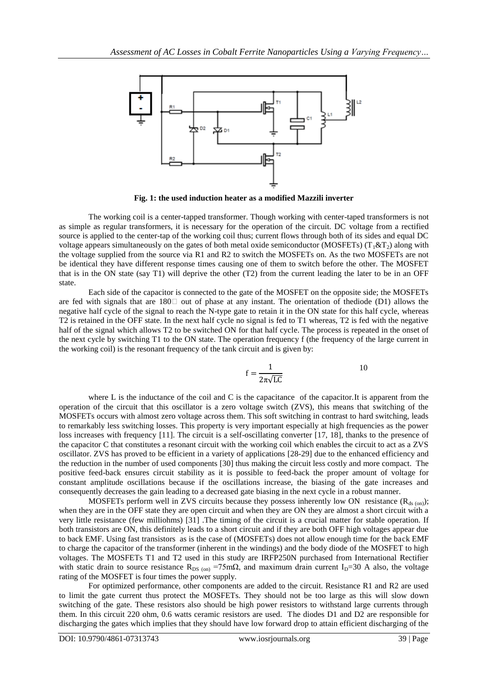

**Fig. 1: the used induction heater as a modified Mazzili inverter**

The working coil is a center-tapped transformer. Though working with center-taped transformers is not as simple as regular transformers, it is necessary for the operation of the circuit. DC voltage from a rectified source is applied to the center-tap of the working coil thus; current flows through both of its sides and equal DC voltage appears simultaneously on the gates of both metal oxide semiconductor (MOSFETs) ( $T_1 \& T_2$ ) along with the voltage supplied from the source via R1 and R2 to switch the MOSFETs on. As the two MOSFETs are not be identical they have different response times causing one of them to switch before the other. The MOSFET that is in the ON state (say T1) will deprive the other (T2) from the current leading the later to be in an OFF state.

Each side of the capacitor is connected to the gate of the MOSFET on the opposite side; the MOSFETs are fed with signals that are  $180\degree$  out of phase at any instant. The orientation of thediode (D1) allows the negative half cycle of the signal to reach the N-type gate to retain it in the ON state for this half cycle, whereas T2 is retained in the OFF state. In the next half cycle no signal is fed to T1 whereas, T2 is fed with the negative half of the signal which allows T2 to be switched ON for that half cycle. The process is repeated in the onset of the next cycle by switching T1 to the ON state. The operation frequency f (the frequency of the large current in the working coil) is the resonant frequency of the tank circuit and is given by:

$$
f = \frac{1}{2\pi\sqrt{LC}}
$$

where L is the inductance of the coil and C is the capacitance of the capacitor. It is apparent from the operation of the circuit that this oscillator is a zero voltage switch (ZVS), this means that switching of the MOSFETs occurs with almost zero voltage across them. This soft switching in contrast to hard switching, leads to remarkably less switching losses. This property is very important especially at high frequencies as the power loss increases with frequency [11]. The circuit is a self-oscillating converter [17, 18], thanks to the presence of the capacitor C that constitutes a resonant circuit with the working coil which enables the circuit to act as a ZVS oscillator. ZVS has proved to be efficient in a variety of applications [28-29] due to the enhanced efficiency and the reduction in the number of used components [30] thus making the circuit less costly and more compact. The positive feed-back ensures circuit stability as it is possible to feed-back the proper amount of voltage for constant amplitude oscillations because if the oscillations increase, the biasing of the gate increases and consequently decreases the gain leading to a decreased gate biasing in the next cycle in a robust manner.

MOSFETs perform well in ZVS circuits because they possess inherently low ON resistance ( $R_{ds \text{(on)}}$ ); when they are in the OFF state they are open circuit and when they are ON they are almost a short circuit with a very little resistance (few milliohms) [31] .The timing of the circuit is a crucial matter for stable operation. If both transistors are ON, this definitely leads to a short circuit and if they are both OFF high voltages appear due to back EMF. Using fast transistors as is the case of (MOSFETs) does not allow enough time for the back EMF to charge the capacitor of the transformer (inherent in the windings) and the body diode of the MOSFET to high voltages. The MOSFETs T1 and T2 used in this study are IRFP250N purchased from International Rectifier with static drain to source resistance  $R_{DS}$  (on) =75m $\Omega$ , and maximum drain current I<sub>D</sub>=30 A also, the voltage rating of the MOSFET is four times the power supply.

For optimized performance, other components are added to the circuit. Resistance R1 and R2 are used to limit the gate current thus protect the MOSFETs. They should not be too large as this will slow down switching of the gate. These resistors also should be high power resistors to withstand large currents through them. In this circuit 220 ohm, 0.6 watts ceramic resistors are used. The diodes D1 and D2 are responsible for discharging the gates which implies that they should have low forward drop to attain efficient discharging of the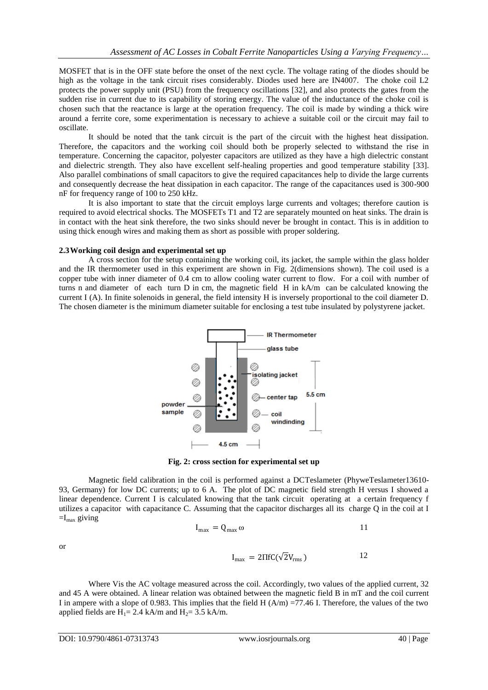MOSFET that is in the OFF state before the onset of the next cycle. The voltage rating of the diodes should be high as the voltage in the tank circuit rises considerably. Diodes used here are IN4007. The choke coil L2 protects the power supply unit (PSU) from the frequency oscillations [32], and also protects the gates from the sudden rise in current due to its capability of storing energy. The value of the inductance of the choke coil is chosen such that the reactance is large at the operation frequency. The coil is made by winding a thick wire around a ferrite core, some experimentation is necessary to achieve a suitable coil or the circuit may fail to oscillate.

It should be noted that the tank circuit is the part of the circuit with the highest heat dissipation. Therefore, the capacitors and the working coil should both be properly selected to withstand the rise in temperature. Concerning the capacitor, polyester capacitors are utilized as they have a high dielectric constant and dielectric strength. They also have excellent self-healing properties and good temperature stability [33]. Also parallel combinations of small capacitors to give the required capacitances help to divide the large currents and consequently decrease the heat dissipation in each capacitor. The range of the capacitances used is 300-900 nF for frequency range of 100 to 250 kHz.

It is also important to state that the circuit employs large currents and voltages; therefore caution is required to avoid electrical shocks. The MOSFETs T1 and T2 are separately mounted on heat sinks. The drain is in contact with the heat sink therefore, the two sinks should never be brought in contact. This is in addition to using thick enough wires and making them as short as possible with proper soldering.

### **2.3Working coil design and experimental set up**

A cross section for the setup containing the working coil, its jacket, the sample within the glass holder and the IR thermometer used in this experiment are shown in Fig. 2(dimensions shown). The coil used is a copper tube with inner diameter of 0.4 cm to allow cooling water current to flow. For a coil with number of turns n and diameter of each turn D in cm, the magnetic field H in kA/m can be calculated knowing the current I (A). In finite solenoids in general, the field intensity H is inversely proportional to the coil diameter D. The chosen diameter is the minimum diameter suitable for enclosing a test tube insulated by polystyrene jacket.



**Fig. 2: cross section for experimental set up**

Magnetic field calibration in the coil is performed against a DCTeslameter (PhyweTeslameter13610-93, Germany) for low DC currents; up to 6 A. The plot of DC magnetic field strength H versus I showed a linear dependence. Current I is calculated knowing that the tank circuit operating at a certain frequency f utilizes a capacitor with capacitance C. Assuming that the capacitor discharges all its charge Q in the coil at I  $=I_{\text{max}}$  giving

$$
I_{\text{max}} = Q_{\text{max}} \omega \qquad 11
$$

 $I_{\text{max}} = 2\Pi f C(\sqrt{2}V_{\text{rms}})$  12

or

Where Vis the AC voltage measured across the coil. Accordingly, two values of the applied current, 32 and 45 A were obtained. A linear relation was obtained between the magnetic field B in mT and the coil current I in ampere with a slope of 0.983. This implies that the field 
$$
H(A/m) = 77.46
$$
 I. Therefore, the values of the two

applied fields are  $H_1 = 2.4$  kA/m and  $H_2 = 3.5$  kA/m.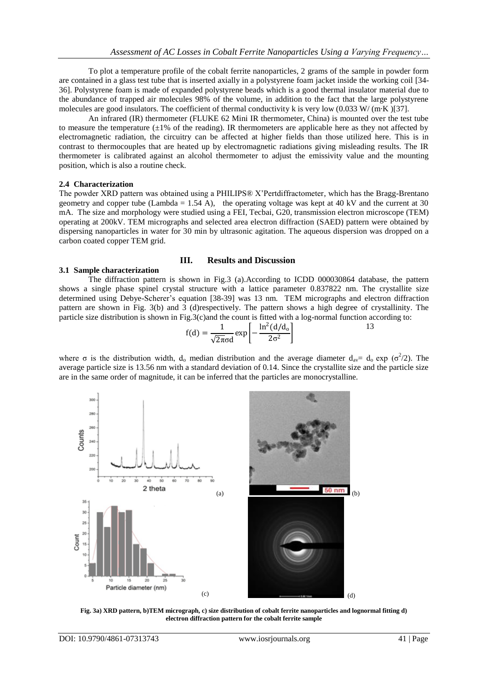To plot a temperature profile of the cobalt ferrite nanoparticles, 2 grams of the sample in powder form are contained in a glass test tube that is inserted axially in a polystyrene foam jacket inside the working coil [34- 36]. Polystyrene foam is made of expanded [polystyrene](http://en.wikipedia.org/wiki/Polystyrene) beads which is a good thermal insulator material due to the abundance of trapped air molecules 98% of the volume, in addition to the fact that the large polystyrene molecules are good insulators. The coefficient of thermal conductivity k is very low  $(0.033 \text{ W}/(\text{m} \cdot \text{K})[37])$ .

An infrared (IR) thermometer (FLUKE 62 Mini IR thermometer, China) is mounted over the test tube to measure the temperature  $(\pm 1\%$  of the reading). IR thermometers are applicable here as they not affected by electromagnetic radiation, the circuitry can be affected at higher fields than those utilized here. This is in contrast to thermocouples that are heated up by electromagnetic radiations giving misleading results. The IR thermometer is calibrated against an alcohol thermometer to adjust the emissivity value and the mounting position, which is also a routine check.

# **2.4 Characterization**

The powder XRD pattern was obtained using a PHILIPS® X'Pertdiffractometer, which has the Bragg-Brentano geometry and copper tube (Lambda = 1.54 A), the operating voltage was kept at 40 kV and the current at 30 mA. The size and morphology were studied using a FEI, Tecbai, G20, transmission electron microscope (TEM) operating at 200kV. TEM micrographs and selected area electron diffraction (SAED) pattern were obtained by dispersing nanoparticles in water for 30 min by ultrasonic agitation. The aqueous dispersion was dropped on a carbon coated copper TEM grid.

# **III. Results and Discussion**

# **3.1 Sample characterization**

The diffraction pattern is shown in Fig.3 (a).According to ICDD 000030864 database, the pattern shows a single phase spinel crystal structure with a lattice parameter 0.837822 nm. The crystallite size determined using Debye-Scherer's equation [38-39] was 13 nm. TEM micrographs and electron diffraction pattern are shown in Fig. 3(b) and 3 (d)respectively. The pattern shows a high degree of crystallinity. The particle size distribution is shown in Fig.3(c)and the count is fitted with a log-normal function according to:

$$
f(d) = \frac{1}{\sqrt{2\pi}\sigma d} \exp\left[-\frac{\ln^2(d/d_0)}{2\sigma^2}\right]
$$

where  $\sigma$  is the distribution width,  $d_0$  median distribution and the average diameter  $d_{av} = d_0 \exp (\sigma^2/2)$ . The average particle size is 13.56 nm with a standard deviation of 0.14. Since the crystallite size and the particle size are in the same order of magnitude, it can be inferred that the particles are monocrystalline.



**Fig. 3a) XRD pattern, b)TEM micrograph, c) size distribution of cobalt ferrite nanoparticles and lognormal fitting d) electron diffraction pattern for the cobalt ferrite sample**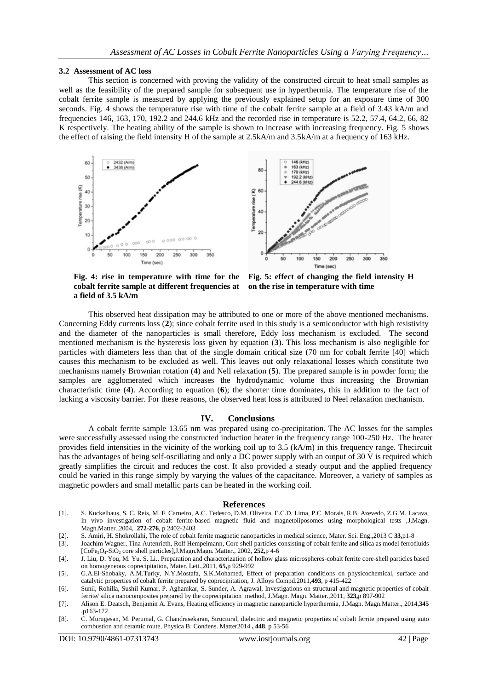#### **3.2 Assessment of AC loss**

This section is concerned with proving the validity of the constructed circuit to heat small samples as well as the feasibility of the prepared sample for subsequent use in hyperthermia. The temperature rise of the cobalt ferrite sample is measured by applying the previously explained setup for an exposure time of 300 seconds. Fig. 4 shows the temperature rise with time of the cobalt ferrite sample at a field of 3.43 kA/m and frequencies 146, 163, 170, 192.2 and 244.6 kHz and the recorded rise in temperature is 52.2, 57.4, 64.2, 66, 82 K respectively. The heating ability of the sample is shown to increase with increasing frequency. Fig. 5 shows the effect of raising the field intensity H of the sample at 2.5kA/m and 3.5kA/m at a frequency of 163 kHz.





**Fig. 4: rise in temperature with time for the cobalt ferrite sample at different frequencies at a field of 3.5 kA/m**

**Fig. 5: effect of changing the field intensity H on the rise in temperature with time**

This observed heat dissipation may be attributed to one or more of the above mentioned mechanisms. Concerning Eddy currents loss (**[2](#page-1-3)**); since cobalt ferrite used in this study is a semiconductor with high resistivity and the diameter of the nanoparticles is small therefore, Eddy loss mechanism is excluded. The second mentioned mechanism is the hysteresis loss given by equation (**[3](#page-1-0)**). This loss mechanism is also negligible for particles with diameters less than that of the single domain critical size (70 nm for cobalt ferrite [40] which causes this mechanism to be excluded as well. This leaves out only relaxational losses which constitute two mechanisms namely Brownian rotation (**[4](#page-1-4)**) and Nell relaxation (**[5](#page-1-5)**). The prepared sample is in powder form; the samples are agglomerated which increases the hydrodynamic volume thus increasing the Brownian characteristic time (**[4](#page-1-4)**). According to equation (**[6](#page-1-6)**); the shorter time dominates, this in addition to the fact of lacking a viscosity barrier. For these reasons, the observed heat loss is attributed to Neel relaxation mechanism.

#### **IV. Conclusions**

A cobalt ferrite sample 13.65 nm was prepared using co-precipitation. The AC losses for the samples were successfully assessed using the constructed induction heater in the frequency range 100-250 Hz. The heater provides field intensities in the vicinity of the working coil up to 3.5 (kA/m) in this frequency range. Thecircuit has the advantages of being self-oscillating and only a DC power supply with an output of 30 V is required which greatly simplifies the circuit and reduces the cost. It also provided a steady output and the applied frequency could be varied in this range simply by varying the values of the capacitance. Moreover, a variety of samples as magnetic powders and small metallic parts can be heated in the working coil.

#### **References**

- [1]. S. Kuckelhaus, S. C. Reis, M. F. Carneiro, A.C. Tedesco, D.M. Oliveira, E.C.D. Lima, P.C. Morais, R.B. Azevedo, Z.G.M. Lacava, In vivo investigation of cobalt ferrite-based magnetic fluid and magnetoliposomes using morphological tests ,J.Magn. Magn.Matter.,2004, **272-276**, p 2402-2403
- [2]. S. Amiri, H. Shokrollahi, The role of cobalt ferrite magnetic nanoparticles in medical science, Mater. Sci. Eng.,2013 C **33,**p1-8
- [3]. Joachim Wagner, Tina Autenrieth, Rolf Hempelmann, Core shell particles consisting of cobalt ferrite and silica as model ferrofluids [CoFe2O4-SiO<sup>2</sup> core shell particles],J.Magn.Magn. Matter., 2002, **252,**p 4-6

[4]. J. Liu, D. You, M. Yu, S. Li., Preparation and characterization of hollow glass microspheres-cobalt ferrite core-shell particles based on homogeneous coprecipitation, Mater. Lett.,2011, **65,**p 929-992

[5]. G.A.El-Shobaky, A.M.Turky, N.Y.Mostafa, S.K.Mohamed, Effect of preparation conditions on physicochemical, surface and catalytic properties of cobalt ferrite prepared by coprecipitation, J. Alloys Compd.2011,**493**, p 415-422

- [6]. Sunil, Rohilla, Sushil Kumar, P. Aghamkar, S. Sunder, A. Agrawal, Investigations on structural and magnetic properties of cobalt ferrite/ silica nanocomposites prepared by the coprecipitation method, J.Magn. Magn. Matter.,2011, **323,**p 897-902
- [7]. Alison E. Deatsch, Benjamin A. Evans, Heating efficiency in magnetic nanoparticle hyperthermia, J.Magn. Magn.Matter., 2014,**345** ,p163-172
- [8]. C. Murugesan, M. Perumal, G. Chandrasekaran, Structural, dielectric and magnetic properties of cobalt ferrite prepared using auto combustion and ceramic route, Physica B: Condens. Matter2014 **, 448**, p 53-56